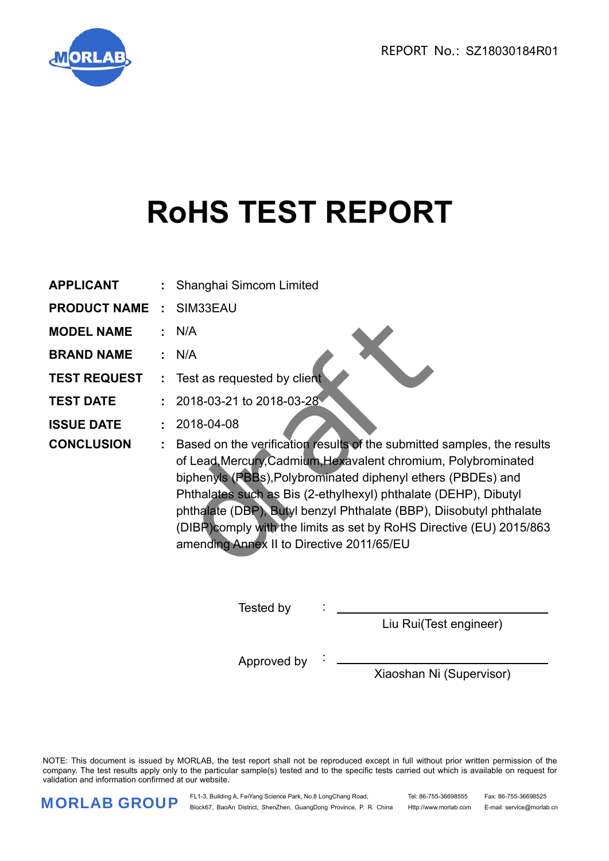REPORT No.: SZ18030184R01



# **RoHS TEST REPORT**

| <b>APPLICANT</b>    |                             | : Shanghai Simcom Limited                                                                                                                                                                                                                                                                                                                                                                                                                                                |
|---------------------|-----------------------------|--------------------------------------------------------------------------------------------------------------------------------------------------------------------------------------------------------------------------------------------------------------------------------------------------------------------------------------------------------------------------------------------------------------------------------------------------------------------------|
| <b>PRODUCT NAME</b> | $\mathcal{L}^{\mathcal{L}}$ | SIM33EAU                                                                                                                                                                                                                                                                                                                                                                                                                                                                 |
| <b>MODEL NAME</b>   |                             | : N/A                                                                                                                                                                                                                                                                                                                                                                                                                                                                    |
| <b>BRAND NAME</b>   |                             | : N/A                                                                                                                                                                                                                                                                                                                                                                                                                                                                    |
| <b>TEST REQUEST</b> |                             | : Test as requested by client                                                                                                                                                                                                                                                                                                                                                                                                                                            |
| <b>TEST DATE</b>    |                             | : 2018-03-21 to 2018-03-28                                                                                                                                                                                                                                                                                                                                                                                                                                               |
| <b>ISSUE DATE</b>   |                             | 2018-04-08                                                                                                                                                                                                                                                                                                                                                                                                                                                               |
| <b>CONCLUSION</b>   |                             | Based on the verification results of the submitted samples, the results<br>of Lead, Mercury, Cadmium, Hexavalent chromium, Polybrominated<br>biphenyls (PBBs), Polybrominated diphenyl ethers (PBDEs) and<br>Phthalates such as Bis (2-ethylhexyl) phthalate (DEHP), Dibutyl<br>phthalate (DBP), Butyl benzyl Phthalate (BBP), Diisobutyl phthalate<br>(DIBP) comply with the limits as set by RoHS Directive (EU) 2015/863<br>amending Annex II to Directive 2011/65/EU |

Tested by :

Liu Rui(Test engineer)

Approved by  $\frac{1}{2}$ 

Xiaoshan Ni (Supervisor)

NOTE: This document is issued by MORLAB, the test report shall not be reproduced except in full without prior written permission of the company. The test results apply only to the particular sample(s) tested and to the specific tests carried out which is available on request for validation and information confirmed at our website.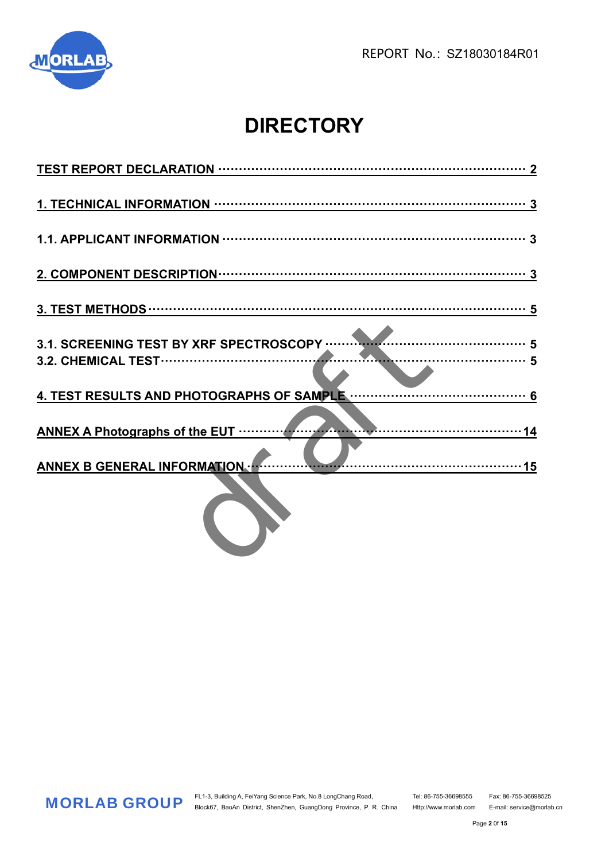

## **DIRECTORY**

| 14<br><b>ANNEX A Photographs of the EUT </b> |
|----------------------------------------------|
| ANNEX B GENERAL INFORMATION                  |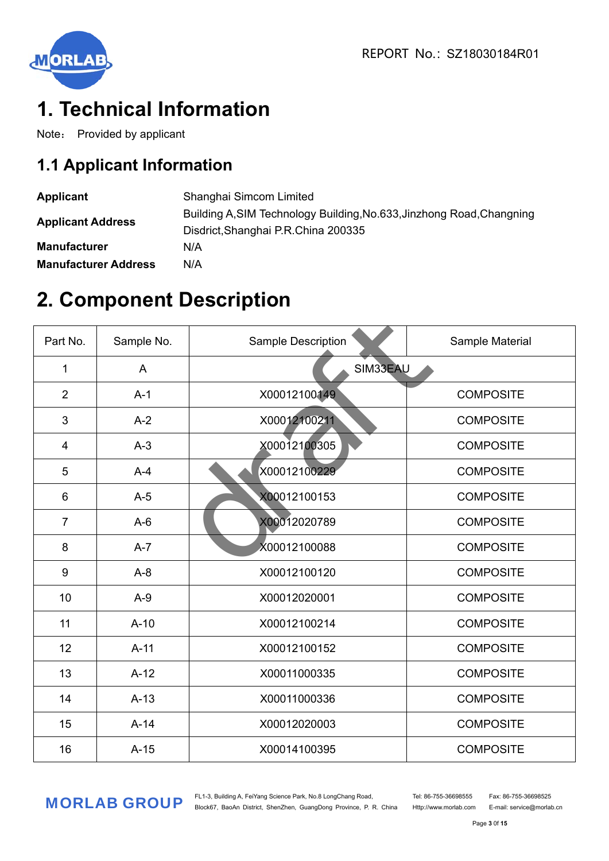

## **1. Technical Information**

Note: Provided by applicant

### **1.1 Applicant Information**

| <b>Applicant</b>            | Shanghai Simcom Limited                                                                                      |
|-----------------------------|--------------------------------------------------------------------------------------------------------------|
| <b>Applicant Address</b>    | Building A, SIM Technology Building, No.633, Jinzhong Road, Changning<br>Disdrict, Shanghai P.R.China 200335 |
| <b>Manufacturer</b>         | N/A                                                                                                          |
| <b>Manufacturer Address</b> | N/A                                                                                                          |

### **2. Component Description**

| Part No.       | Sample No. | <b>Sample Description</b> | Sample Material  |
|----------------|------------|---------------------------|------------------|
| 1              | A          | SIM33EAU                  |                  |
| $\overline{2}$ | $A-1$      | X00012100149              | <b>COMPOSITE</b> |
| 3              | $A-2$      | X00012100211              | <b>COMPOSITE</b> |
| 4              | $A-3$      | X00012100305              | <b>COMPOSITE</b> |
| 5              | $A-4$      | X00012100229              | <b>COMPOSITE</b> |
| 6              | $A-5$      | X00012100153              | <b>COMPOSITE</b> |
| $\overline{7}$ | $A-6$      | X00012020789              | <b>COMPOSITE</b> |
| 8              | $A-7$      | X00012100088              | <b>COMPOSITE</b> |
| 9              | $A-8$      | X00012100120              | <b>COMPOSITE</b> |
| 10             | $A-9$      | X00012020001              | <b>COMPOSITE</b> |
| 11             | $A-10$     | X00012100214              | <b>COMPOSITE</b> |
| 12             | $A-11$     | X00012100152              | <b>COMPOSITE</b> |
| 13             | $A-12$     | X00011000335              | <b>COMPOSITE</b> |
| 14             | $A-13$     | X00011000336              | <b>COMPOSITE</b> |
| 15             | $A-14$     | X00012020003              | <b>COMPOSITE</b> |
| 16             | $A-15$     | X00014100395              | <b>COMPOSITE</b> |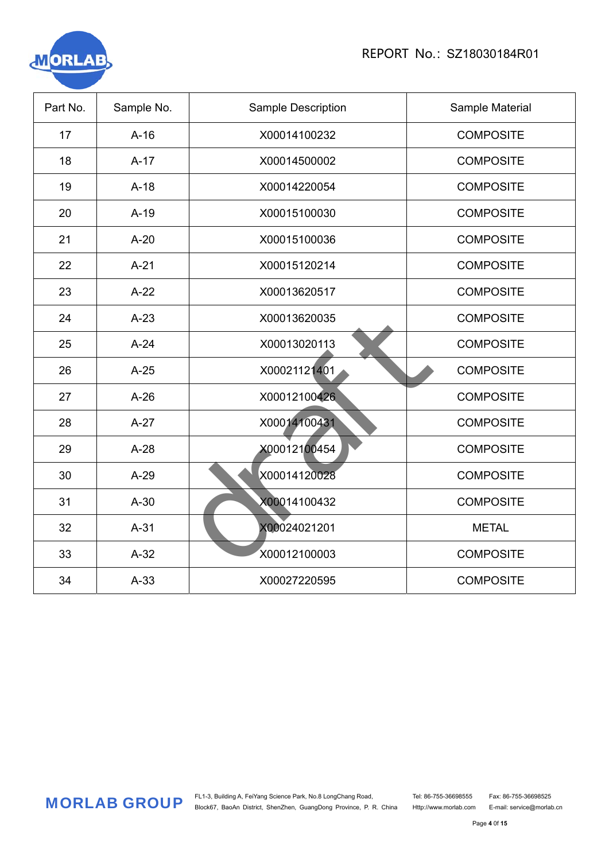

| Part No. | Sample No. | Sample Description | Sample Material  |
|----------|------------|--------------------|------------------|
| 17       | $A-16$     | X00014100232       | <b>COMPOSITE</b> |
| 18       | $A-17$     | X00014500002       | <b>COMPOSITE</b> |
| 19       | $A-18$     | X00014220054       | <b>COMPOSITE</b> |
| 20       | $A-19$     | X00015100030       | <b>COMPOSITE</b> |
| 21       | $A-20$     | X00015100036       | <b>COMPOSITE</b> |
| 22       | $A-21$     | X00015120214       | <b>COMPOSITE</b> |
| 23       | $A-22$     | X00013620517       | <b>COMPOSITE</b> |
| 24       | $A-23$     | X00013620035       | <b>COMPOSITE</b> |
| 25       | $A-24$     | X00013020113       | <b>COMPOSITE</b> |
| 26       | $A-25$     | X00021121401       | <b>COMPOSITE</b> |
| 27       | $A-26$     | X00012100426       | <b>COMPOSITE</b> |
| 28       | $A-27$     | X00014100431       | <b>COMPOSITE</b> |
| 29       | $A-28$     | X00012100454       | <b>COMPOSITE</b> |
| 30       | $A-29$     | X00014120028       | <b>COMPOSITE</b> |
| 31       | $A-30$     | X00014100432       | <b>COMPOSITE</b> |
| 32       | $A-31$     | X00024021201       | <b>METAL</b>     |
| 33       | $A-32$     | X00012100003       | <b>COMPOSITE</b> |
| 34       | $A-33$     | X00027220595       | <b>COMPOSITE</b> |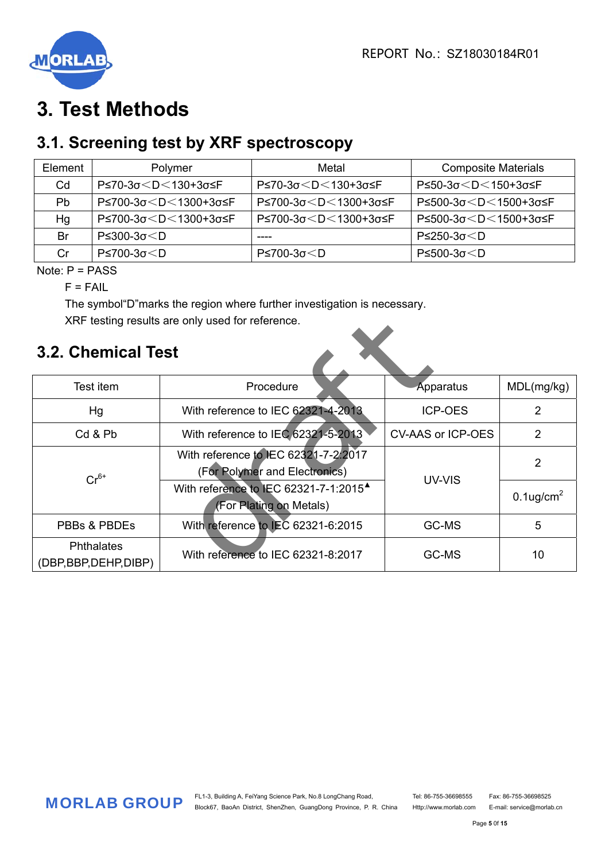

### **3. Test Methods**

### **3.1. Screening test by XRF spectroscopy**

| Element | Polymer                                                                                                                                              | Metal                                                                                            | <b>Composite Materials</b>                   |
|---------|------------------------------------------------------------------------------------------------------------------------------------------------------|--------------------------------------------------------------------------------------------------|----------------------------------------------|
| Cd      | P≤70-3σ <d<130+3σ≤f< td=""><td>P≤70-3σ<d<130+3σ≤f< td=""><td>P≤50-3σ<d<150+3σ≤f< td=""></d<150+3σ≤f<></td></d<130+3σ≤f<></td></d<130+3σ≤f<>          | P≤70-3σ <d<130+3σ≤f< td=""><td>P≤50-3σ<d<150+3σ≤f< td=""></d<150+3σ≤f<></td></d<130+3σ≤f<>       | P≤50-3σ <d<150+3σ≤f< td=""></d<150+3σ≤f<>    |
| Pb.     | P≤700-3σ <d<1300+3σ≤f< td=""><td>P≤700-3σ<d<1300+3σ≤f< td=""><td>P≤500-3σ<d<1500+3σ≤f< td=""></d<1500+3σ≤f<></td></d<1300+3σ≤f<></td></d<1300+3σ≤f<> | P≤700-3σ <d<1300+3σ≤f< td=""><td>P≤500-3σ<d<1500+3σ≤f< td=""></d<1500+3σ≤f<></td></d<1300+3σ≤f<> | P≤500-3σ <d<1500+3σ≤f< td=""></d<1500+3σ≤f<> |
| Нg      | P≤700-3σ <d<1300+3σ≤f< td=""><td>P≤700-3σ<d<1300+3σ≤f< td=""><td>P≤500-3σ<d<1500+3σ≤f< td=""></d<1500+3σ≤f<></td></d<1300+3σ≤f<></td></d<1300+3σ≤f<> | P≤700-3σ <d<1300+3σ≤f< td=""><td>P≤500-3σ<d<1500+3σ≤f< td=""></d<1500+3σ≤f<></td></d<1300+3σ≤f<> | P≤500-3σ <d<1500+3σ≤f< td=""></d<1500+3σ≤f<> |
| Br      | P≤300-3σ <d< td=""><td></td><td><math>P</math>≤250-3σ<math>&lt;</math>D</td></d<>                                                                    |                                                                                                  | $P$ ≤250-3σ $<$ D                            |
| Cr      | $P$ ≤700-3σ $<$ D                                                                                                                                    | $P \le 700 - 3\sigma \le D$                                                                      | $P≤500-3σ < D$                               |

Note: P = PASS

 $F = F A II$ 

 The symbol"D"marks the region where further investigation is necessary. XRF testing results are only used for reference.

### **3.2. Chemical Test**

| XRF testing results are only used for reference. |                                                                              |                          |                          |  |  |  |  |  |
|--------------------------------------------------|------------------------------------------------------------------------------|--------------------------|--------------------------|--|--|--|--|--|
| <b>3.2. Chemical Test</b>                        |                                                                              |                          |                          |  |  |  |  |  |
| Test item                                        | Procedure                                                                    | Apparatus                | MDL(mg/kg)               |  |  |  |  |  |
| Hg                                               | With reference to IEC 62321-4-2013                                           | <b>ICP-OES</b>           | 2                        |  |  |  |  |  |
| Cd & Pb                                          | With reference to IEC 62321-5-2013                                           | <b>CV-AAS or ICP-OES</b> | 2                        |  |  |  |  |  |
| $Cr^{6+}$                                        | With reference to JEC 62321-7-2:2017<br>(For Polymer and Electronics)        |                          | $\overline{2}$           |  |  |  |  |  |
|                                                  | With reference to IEC 62321-7-1:2015 <sup>4</sup><br>(For Plating on Metals) | UV-VIS                   | $0.1$ ug/cm <sup>2</sup> |  |  |  |  |  |
| PBBs & PBDEs                                     | With reference to IEC 62321-6:2015                                           | GC-MS                    | 5                        |  |  |  |  |  |
| <b>Phthalates</b><br>(DBP, BBP, DEHP, DIBP)      | With reference to IEC 62321-8:2017                                           | GC-MS                    | 10                       |  |  |  |  |  |

Page **5** 0f **15**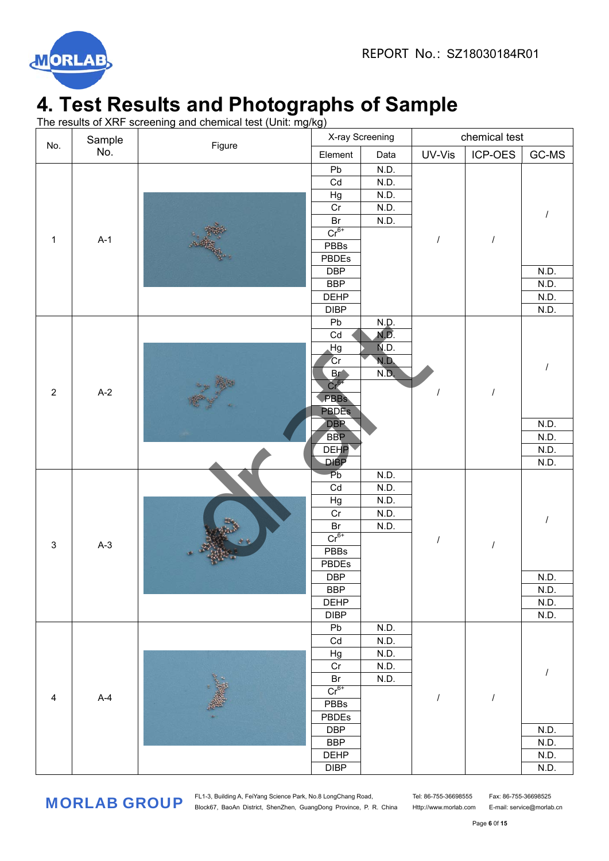

## **4. Test Results and Photographs of Sample**

The results of XRF screening and chemical test (Unit: mg/kg)

|                                                                                                                |       | X-ray Screening                                                                                                                                                                                                                                                                                                                                                                                                                                                                                                                                                                                                                                                              |                                                                                      |      |        |                                              |       |
|----------------------------------------------------------------------------------------------------------------|-------|------------------------------------------------------------------------------------------------------------------------------------------------------------------------------------------------------------------------------------------------------------------------------------------------------------------------------------------------------------------------------------------------------------------------------------------------------------------------------------------------------------------------------------------------------------------------------------------------------------------------------------------------------------------------------|--------------------------------------------------------------------------------------|------|--------|----------------------------------------------|-------|
|                                                                                                                |       |                                                                                                                                                                                                                                                                                                                                                                                                                                                                                                                                                                                                                                                                              | Element                                                                              | Data | UV-Vis | ICP-OES                                      | GC-MS |
|                                                                                                                |       |                                                                                                                                                                                                                                                                                                                                                                                                                                                                                                                                                                                                                                                                              | Pb                                                                                   | N.D. |        |                                              |       |
|                                                                                                                |       |                                                                                                                                                                                                                                                                                                                                                                                                                                                                                                                                                                                                                                                                              | Cd                                                                                   | N.D. |        | $\prime$<br>$\cal I$<br>$\cal I$<br>$\cal I$ |       |
| Sample<br>No.<br>No.<br>$A-1$<br>$\mathbf{1}$<br>$A-2$<br>$\overline{2}$<br>$A-3$<br>$\ensuremath{\mathsf{3}}$ |       |                                                                                                                                                                                                                                                                                                                                                                                                                                                                                                                                                                                                                                                                              |                                                                                      | N.D. |        |                                              |       |
|                                                                                                                |       | Cr                                                                                                                                                                                                                                                                                                                                                                                                                                                                                                                                                                                                                                                                           | N.D.                                                                                 |      |        |                                              |       |
|                                                                                                                |       | chemical test<br>Figure<br>Hg<br>Br<br>N.D.<br>$Cr^{6+}$<br>PBBs<br>PBDEs<br><b>DBP</b><br><b>BBP</b><br><b>DEHP</b><br><b>DIBP</b><br>N.D.<br>Pb<br>Cd<br>N.D.<br>N.D.<br>Hg<br>Gr<br>N.D.<br>N.D.<br>Br<br>$Cr6+$<br><b>PBBs</b><br>PBDEs<br><b>DBP</b><br><b>BBP</b><br><b>DEHP</b><br><b>DIBP</b><br>$\overline{P}b$<br>N.D.<br>Cd<br>N.D.<br>N.D.<br>Hg<br>Cr<br>N.D.<br>Br<br>N.D.<br>$Cr6+$<br><b>PBBs</b><br><b>PBDEs</b><br><b>DBP</b><br><b>BBP</b><br><b>DEHP</b><br><b>DIBP</b><br>${\sf Pb}$<br>N.D.<br>$\mathsf{Cd}$<br>N.D.<br>$\mathsf{Hg}$<br>N.D.<br>$\rm Cr$<br>N.D.<br>Br<br>N.D.<br>$Cr6+$<br>PBBs<br>PBDEs<br><b>DBP</b><br><b>BBP</b><br>DEHP<br>DIBP |                                                                                      |      |        |                                              |       |
|                                                                                                                |       |                                                                                                                                                                                                                                                                                                                                                                                                                                                                                                                                                                                                                                                                              |                                                                                      |      |        |                                              |       |
|                                                                                                                |       |                                                                                                                                                                                                                                                                                                                                                                                                                                                                                                                                                                                                                                                                              |                                                                                      |      |        |                                              |       |
|                                                                                                                |       |                                                                                                                                                                                                                                                                                                                                                                                                                                                                                                                                                                                                                                                                              |                                                                                      |      |        |                                              |       |
|                                                                                                                |       |                                                                                                                                                                                                                                                                                                                                                                                                                                                                                                                                                                                                                                                                              |                                                                                      |      |        |                                              |       |
|                                                                                                                |       |                                                                                                                                                                                                                                                                                                                                                                                                                                                                                                                                                                                                                                                                              |                                                                                      |      |        |                                              |       |
|                                                                                                                |       |                                                                                                                                                                                                                                                                                                                                                                                                                                                                                                                                                                                                                                                                              |                                                                                      |      |        |                                              |       |
|                                                                                                                |       |                                                                                                                                                                                                                                                                                                                                                                                                                                                                                                                                                                                                                                                                              |                                                                                      |      |        |                                              |       |
|                                                                                                                |       |                                                                                                                                                                                                                                                                                                                                                                                                                                                                                                                                                                                                                                                                              |                                                                                      |      |        |                                              |       |
|                                                                                                                |       |                                                                                                                                                                                                                                                                                                                                                                                                                                                                                                                                                                                                                                                                              |                                                                                      |      |        |                                              |       |
|                                                                                                                |       |                                                                                                                                                                                                                                                                                                                                                                                                                                                                                                                                                                                                                                                                              |                                                                                      |      |        |                                              |       |
|                                                                                                                |       |                                                                                                                                                                                                                                                                                                                                                                                                                                                                                                                                                                                                                                                                              |                                                                                      |      |        |                                              |       |
|                                                                                                                |       |                                                                                                                                                                                                                                                                                                                                                                                                                                                                                                                                                                                                                                                                              | N.D.<br>N.D.                                                                         |      |        |                                              |       |
|                                                                                                                |       |                                                                                                                                                                                                                                                                                                                                                                                                                                                                                                                                                                                                                                                                              |                                                                                      |      |        |                                              |       |
|                                                                                                                |       |                                                                                                                                                                                                                                                                                                                                                                                                                                                                                                                                                                                                                                                                              |                                                                                      |      |        |                                              |       |
|                                                                                                                |       |                                                                                                                                                                                                                                                                                                                                                                                                                                                                                                                                                                                                                                                                              |                                                                                      |      |        |                                              |       |
|                                                                                                                |       |                                                                                                                                                                                                                                                                                                                                                                                                                                                                                                                                                                                                                                                                              |                                                                                      |      |        |                                              |       |
|                                                                                                                |       |                                                                                                                                                                                                                                                                                                                                                                                                                                                                                                                                                                                                                                                                              |                                                                                      |      |        |                                              |       |
|                                                                                                                |       |                                                                                                                                                                                                                                                                                                                                                                                                                                                                                                                                                                                                                                                                              |                                                                                      |      |        |                                              |       |
|                                                                                                                |       |                                                                                                                                                                                                                                                                                                                                                                                                                                                                                                                                                                                                                                                                              |                                                                                      |      |        |                                              |       |
|                                                                                                                |       |                                                                                                                                                                                                                                                                                                                                                                                                                                                                                                                                                                                                                                                                              |                                                                                      |      |        |                                              |       |
|                                                                                                                |       |                                                                                                                                                                                                                                                                                                                                                                                                                                                                                                                                                                                                                                                                              |                                                                                      |      |        |                                              |       |
|                                                                                                                | $A-4$ |                                                                                                                                                                                                                                                                                                                                                                                                                                                                                                                                                                                                                                                                              |                                                                                      |      |        |                                              |       |
|                                                                                                                |       |                                                                                                                                                                                                                                                                                                                                                                                                                                                                                                                                                                                                                                                                              | N.D.<br>N.D.<br>N.D.<br>N.D.<br>N.D.<br>N.D.<br>N.D.<br>N.D.<br>N.D.<br>N.D.<br>N.D. |      |        |                                              |       |
|                                                                                                                |       |                                                                                                                                                                                                                                                                                                                                                                                                                                                                                                                                                                                                                                                                              |                                                                                      |      |        |                                              |       |
|                                                                                                                |       |                                                                                                                                                                                                                                                                                                                                                                                                                                                                                                                                                                                                                                                                              |                                                                                      |      |        |                                              |       |
|                                                                                                                |       |                                                                                                                                                                                                                                                                                                                                                                                                                                                                                                                                                                                                                                                                              |                                                                                      |      |        |                                              |       |
|                                                                                                                |       |                                                                                                                                                                                                                                                                                                                                                                                                                                                                                                                                                                                                                                                                              |                                                                                      |      |        |                                              |       |
|                                                                                                                |       |                                                                                                                                                                                                                                                                                                                                                                                                                                                                                                                                                                                                                                                                              |                                                                                      |      |        |                                              | N.D.  |
|                                                                                                                |       |                                                                                                                                                                                                                                                                                                                                                                                                                                                                                                                                                                                                                                                                              |                                                                                      |      |        |                                              | N.D.  |
|                                                                                                                |       |                                                                                                                                                                                                                                                                                                                                                                                                                                                                                                                                                                                                                                                                              |                                                                                      |      |        |                                              | N.D.  |
|                                                                                                                |       |                                                                                                                                                                                                                                                                                                                                                                                                                                                                                                                                                                                                                                                                              |                                                                                      |      |        |                                              |       |
|                                                                                                                |       |                                                                                                                                                                                                                                                                                                                                                                                                                                                                                                                                                                                                                                                                              |                                                                                      |      |        |                                              |       |
|                                                                                                                |       |                                                                                                                                                                                                                                                                                                                                                                                                                                                                                                                                                                                                                                                                              |                                                                                      |      |        |                                              |       |
|                                                                                                                |       |                                                                                                                                                                                                                                                                                                                                                                                                                                                                                                                                                                                                                                                                              |                                                                                      |      |        |                                              |       |
|                                                                                                                |       |                                                                                                                                                                                                                                                                                                                                                                                                                                                                                                                                                                                                                                                                              |                                                                                      |      |        |                                              |       |
| $\overline{4}$                                                                                                 |       |                                                                                                                                                                                                                                                                                                                                                                                                                                                                                                                                                                                                                                                                              |                                                                                      |      |        |                                              |       |
|                                                                                                                |       |                                                                                                                                                                                                                                                                                                                                                                                                                                                                                                                                                                                                                                                                              |                                                                                      |      |        |                                              |       |
|                                                                                                                |       |                                                                                                                                                                                                                                                                                                                                                                                                                                                                                                                                                                                                                                                                              |                                                                                      |      |        |                                              |       |
|                                                                                                                |       |                                                                                                                                                                                                                                                                                                                                                                                                                                                                                                                                                                                                                                                                              |                                                                                      |      |        |                                              |       |
|                                                                                                                |       |                                                                                                                                                                                                                                                                                                                                                                                                                                                                                                                                                                                                                                                                              |                                                                                      |      |        |                                              |       |
|                                                                                                                |       |                                                                                                                                                                                                                                                                                                                                                                                                                                                                                                                                                                                                                                                                              |                                                                                      |      |        |                                              |       |
|                                                                                                                |       |                                                                                                                                                                                                                                                                                                                                                                                                                                                                                                                                                                                                                                                                              |                                                                                      |      |        |                                              |       |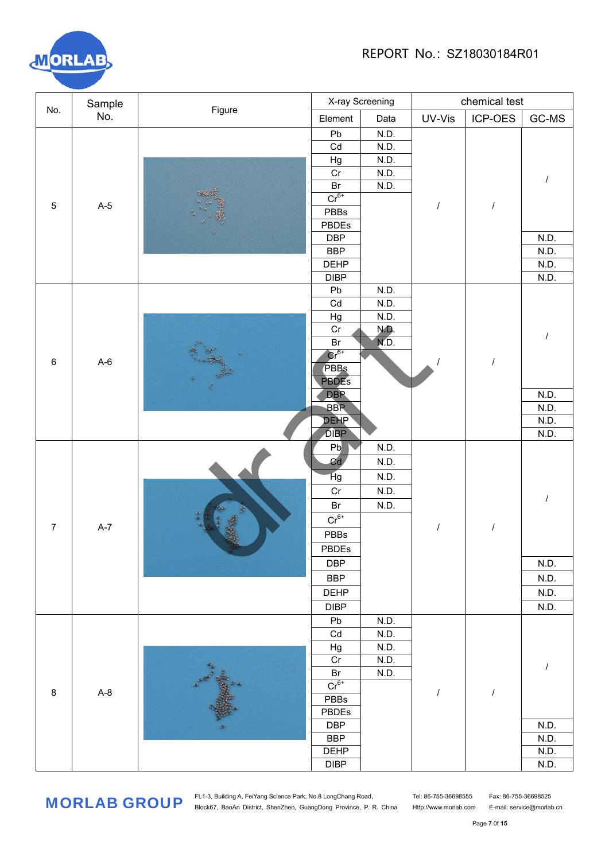

|                  | Sample |  |                                                                                                                                                                                                                                                                                                                                                                                                                                                                                                                                                                                                                                                                                                                                              |      | chemical test |                                                      |         |  |  |
|------------------|--------|--|----------------------------------------------------------------------------------------------------------------------------------------------------------------------------------------------------------------------------------------------------------------------------------------------------------------------------------------------------------------------------------------------------------------------------------------------------------------------------------------------------------------------------------------------------------------------------------------------------------------------------------------------------------------------------------------------------------------------------------------------|------|---------------|------------------------------------------------------|---------|--|--|
| No.              | No.    |  | Element                                                                                                                                                                                                                                                                                                                                                                                                                                                                                                                                                                                                                                                                                                                                      | Data | UV-Vis        | ICP-OES                                              | $GC-MS$ |  |  |
|                  |        |  | Pb                                                                                                                                                                                                                                                                                                                                                                                                                                                                                                                                                                                                                                                                                                                                           | N.D. |               |                                                      |         |  |  |
|                  |        |  | Cd                                                                                                                                                                                                                                                                                                                                                                                                                                                                                                                                                                                                                                                                                                                                           | N.D. |               |                                                      |         |  |  |
|                  |        |  | Hg                                                                                                                                                                                                                                                                                                                                                                                                                                                                                                                                                                                                                                                                                                                                           | N.D. |               | $\sqrt{2}$<br>$\overline{I}$<br>$\prime$<br>$\cal I$ |         |  |  |
|                  |        |  | Cr                                                                                                                                                                                                                                                                                                                                                                                                                                                                                                                                                                                                                                                                                                                                           | N.D. |               |                                                      |         |  |  |
|                  |        |  |                                                                                                                                                                                                                                                                                                                                                                                                                                                                                                                                                                                                                                                                                                                                              | N.D. |               |                                                      |         |  |  |
| $\mathbf 5$      | $A-5$  |  |                                                                                                                                                                                                                                                                                                                                                                                                                                                                                                                                                                                                                                                                                                                                              |      |               |                                                      |         |  |  |
|                  |        |  |                                                                                                                                                                                                                                                                                                                                                                                                                                                                                                                                                                                                                                                                                                                                              |      |               |                                                      |         |  |  |
|                  |        |  |                                                                                                                                                                                                                                                                                                                                                                                                                                                                                                                                                                                                                                                                                                                                              |      |               |                                                      |         |  |  |
|                  |        |  | X-ray Screening<br>Figure<br>Br<br>$Cr^{6+}$<br>PBBs<br>PBDEs<br><b>DBP</b><br><b>BBP</b><br>N.D.<br><b>DEHP</b><br>N.D.<br>N.D.<br><b>DIBP</b><br>N.D.<br>Pb<br>Cd<br>N.D.<br>Hg<br>N.D.<br>Cr<br>N.D.<br>NĎ.<br>Br<br>$\text{Cr}^{6+}$<br>PBBs<br><b>PBDES</b><br><b>DBP</b><br><b>BBP</b><br><b>DEHP</b><br><b>DIBP</b><br>P <sub>b</sub><br>N.D.<br>Cd<br>N.D.<br>Hg<br>N.D.<br>Cr<br>N.D.<br>Br<br>N.D.<br>$Cr^{6+}$<br>$\prime$<br>PBBs<br>PBDEs<br><b>DBP</b><br>N.D.<br>N.D.<br><b>BBP</b><br>DEHP<br>N.D.<br>N.D.<br><b>DIBP</b><br>Pb<br>N.D.<br>Cd<br>N.D.<br>Hg<br>N.D.<br>$\rm Cr$<br>N.D.<br><b>CARL REA</b><br>N.D.<br>$\mathsf{Br}$<br>$Cr^{6+}$<br>PBBs<br>PBDEs<br><b>DBP</b><br><b>BBP</b><br><b>DEHP</b><br>${\sf DIBP}$ | N.D. |               |                                                      |         |  |  |
|                  |        |  |                                                                                                                                                                                                                                                                                                                                                                                                                                                                                                                                                                                                                                                                                                                                              |      |               |                                                      |         |  |  |
|                  |        |  |                                                                                                                                                                                                                                                                                                                                                                                                                                                                                                                                                                                                                                                                                                                                              |      |               |                                                      |         |  |  |
|                  |        |  |                                                                                                                                                                                                                                                                                                                                                                                                                                                                                                                                                                                                                                                                                                                                              |      |               |                                                      |         |  |  |
|                  |        |  |                                                                                                                                                                                                                                                                                                                                                                                                                                                                                                                                                                                                                                                                                                                                              |      |               |                                                      |         |  |  |
|                  |        |  |                                                                                                                                                                                                                                                                                                                                                                                                                                                                                                                                                                                                                                                                                                                                              |      |               |                                                      |         |  |  |
| $A-6$<br>$\,6$   |        |  |                                                                                                                                                                                                                                                                                                                                                                                                                                                                                                                                                                                                                                                                                                                                              |      |               |                                                      |         |  |  |
|                  |        |  |                                                                                                                                                                                                                                                                                                                                                                                                                                                                                                                                                                                                                                                                                                                                              |      |               |                                                      |         |  |  |
|                  |        |  |                                                                                                                                                                                                                                                                                                                                                                                                                                                                                                                                                                                                                                                                                                                                              |      |               |                                                      |         |  |  |
|                  |        |  |                                                                                                                                                                                                                                                                                                                                                                                                                                                                                                                                                                                                                                                                                                                                              |      |               |                                                      |         |  |  |
|                  |        |  |                                                                                                                                                                                                                                                                                                                                                                                                                                                                                                                                                                                                                                                                                                                                              |      |               |                                                      |         |  |  |
|                  |        |  |                                                                                                                                                                                                                                                                                                                                                                                                                                                                                                                                                                                                                                                                                                                                              |      |               |                                                      | N.D.    |  |  |
|                  |        |  |                                                                                                                                                                                                                                                                                                                                                                                                                                                                                                                                                                                                                                                                                                                                              |      |               |                                                      | N.D.    |  |  |
|                  |        |  |                                                                                                                                                                                                                                                                                                                                                                                                                                                                                                                                                                                                                                                                                                                                              |      |               |                                                      | N.D.    |  |  |
|                  |        |  |                                                                                                                                                                                                                                                                                                                                                                                                                                                                                                                                                                                                                                                                                                                                              |      |               |                                                      | N.D.    |  |  |
|                  |        |  |                                                                                                                                                                                                                                                                                                                                                                                                                                                                                                                                                                                                                                                                                                                                              |      |               |                                                      |         |  |  |
|                  |        |  |                                                                                                                                                                                                                                                                                                                                                                                                                                                                                                                                                                                                                                                                                                                                              |      |               |                                                      |         |  |  |
|                  |        |  |                                                                                                                                                                                                                                                                                                                                                                                                                                                                                                                                                                                                                                                                                                                                              |      |               |                                                      |         |  |  |
|                  |        |  |                                                                                                                                                                                                                                                                                                                                                                                                                                                                                                                                                                                                                                                                                                                                              |      |               |                                                      |         |  |  |
|                  |        |  |                                                                                                                                                                                                                                                                                                                                                                                                                                                                                                                                                                                                                                                                                                                                              |      |               |                                                      |         |  |  |
|                  |        |  |                                                                                                                                                                                                                                                                                                                                                                                                                                                                                                                                                                                                                                                                                                                                              |      |               |                                                      |         |  |  |
| $\boldsymbol{7}$ | $A-7$  |  |                                                                                                                                                                                                                                                                                                                                                                                                                                                                                                                                                                                                                                                                                                                                              |      |               |                                                      |         |  |  |
|                  |        |  |                                                                                                                                                                                                                                                                                                                                                                                                                                                                                                                                                                                                                                                                                                                                              |      |               |                                                      |         |  |  |
|                  |        |  |                                                                                                                                                                                                                                                                                                                                                                                                                                                                                                                                                                                                                                                                                                                                              |      |               |                                                      |         |  |  |
|                  |        |  |                                                                                                                                                                                                                                                                                                                                                                                                                                                                                                                                                                                                                                                                                                                                              |      |               |                                                      |         |  |  |
|                  |        |  |                                                                                                                                                                                                                                                                                                                                                                                                                                                                                                                                                                                                                                                                                                                                              |      |               |                                                      |         |  |  |
|                  |        |  |                                                                                                                                                                                                                                                                                                                                                                                                                                                                                                                                                                                                                                                                                                                                              |      |               |                                                      |         |  |  |
|                  |        |  |                                                                                                                                                                                                                                                                                                                                                                                                                                                                                                                                                                                                                                                                                                                                              |      |               |                                                      |         |  |  |
|                  |        |  |                                                                                                                                                                                                                                                                                                                                                                                                                                                                                                                                                                                                                                                                                                                                              |      |               |                                                      |         |  |  |
|                  |        |  |                                                                                                                                                                                                                                                                                                                                                                                                                                                                                                                                                                                                                                                                                                                                              |      |               |                                                      |         |  |  |
|                  |        |  |                                                                                                                                                                                                                                                                                                                                                                                                                                                                                                                                                                                                                                                                                                                                              |      |               |                                                      |         |  |  |
|                  |        |  |                                                                                                                                                                                                                                                                                                                                                                                                                                                                                                                                                                                                                                                                                                                                              |      |               |                                                      |         |  |  |
|                  |        |  |                                                                                                                                                                                                                                                                                                                                                                                                                                                                                                                                                                                                                                                                                                                                              |      |               |                                                      |         |  |  |
| $\, 8$           | $A-8$  |  |                                                                                                                                                                                                                                                                                                                                                                                                                                                                                                                                                                                                                                                                                                                                              |      |               |                                                      |         |  |  |
|                  |        |  |                                                                                                                                                                                                                                                                                                                                                                                                                                                                                                                                                                                                                                                                                                                                              |      |               |                                                      |         |  |  |
|                  |        |  |                                                                                                                                                                                                                                                                                                                                                                                                                                                                                                                                                                                                                                                                                                                                              |      |               |                                                      | N.D.    |  |  |
|                  |        |  |                                                                                                                                                                                                                                                                                                                                                                                                                                                                                                                                                                                                                                                                                                                                              |      |               |                                                      | N.D.    |  |  |
|                  |        |  |                                                                                                                                                                                                                                                                                                                                                                                                                                                                                                                                                                                                                                                                                                                                              |      |               |                                                      | N.D.    |  |  |
|                  |        |  |                                                                                                                                                                                                                                                                                                                                                                                                                                                                                                                                                                                                                                                                                                                                              |      |               |                                                      | N.D.    |  |  |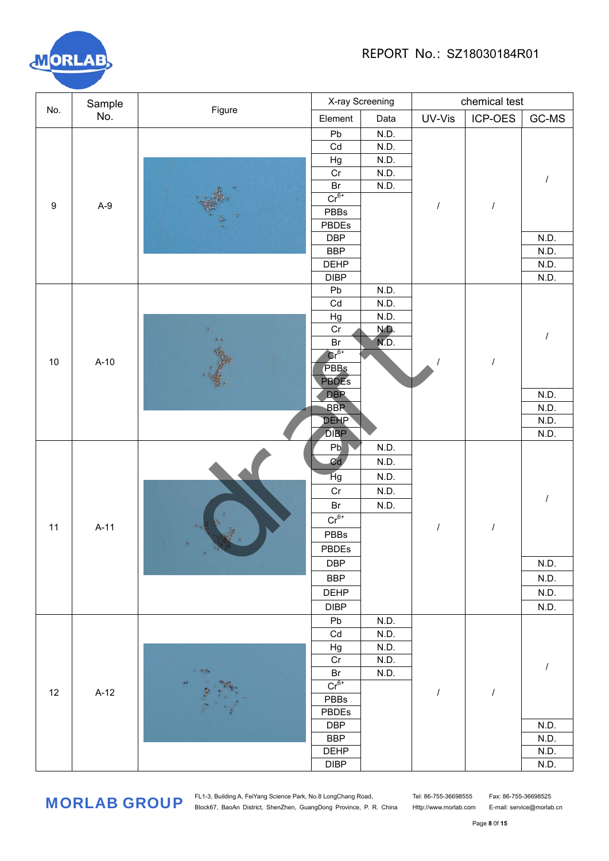

|                  | Sample |                                     |                                                                                                                                                                                                                                                                                                                                                                                                                                                                                                                                                                                                                                                                                                                                  | X-ray Screening |        | chemical test |         |  |
|------------------|--------|-------------------------------------|----------------------------------------------------------------------------------------------------------------------------------------------------------------------------------------------------------------------------------------------------------------------------------------------------------------------------------------------------------------------------------------------------------------------------------------------------------------------------------------------------------------------------------------------------------------------------------------------------------------------------------------------------------------------------------------------------------------------------------|-----------------|--------|---------------|---------|--|
| No.              | No.    |                                     | Element                                                                                                                                                                                                                                                                                                                                                                                                                                                                                                                                                                                                                                                                                                                          | Data            | UV-Vis | ICP-OES       | $GC-MS$ |  |
|                  |        |                                     | Pb                                                                                                                                                                                                                                                                                                                                                                                                                                                                                                                                                                                                                                                                                                                               | N.D.            |        |               |         |  |
|                  |        |                                     | Cd                                                                                                                                                                                                                                                                                                                                                                                                                                                                                                                                                                                                                                                                                                                               | N.D.            |        |               |         |  |
|                  |        |                                     | Figure<br>N.D.<br>Hg<br>$\overline{Cr}$<br>N.D.<br>Br<br>N.D.<br>$Cr6+$<br>$\prime$<br>PBBs<br>PBDEs<br><b>DBP</b><br><b>BBP</b><br><b>DEHP</b><br><b>DIBP</b><br>N.D.<br>Pb<br>Cd<br>N.D.<br>Hg<br>N.D.<br>Cr<br>N.D.<br>ND.<br>Br<br>$Cr^{6+}$<br>$\overline{I}$<br>PBBs<br><b>PBDES</b><br><b>DBP</b><br><b>BBP</b><br><b>DEHP</b><br><b>DIBP</b><br>N.D.<br>Pb<br>Cd<br>N.D.<br>Hg<br>N.D.<br>Cr<br>N.D.<br>Br<br>N.D.<br>$Cr^{6+}$<br>$\prime$<br>PBBs<br>PBDEs<br>$\alpha$<br><b>DBP</b><br><b>BBP</b><br>DEHP<br><b>DIBP</b><br>Pb<br>N.D.<br>Cd<br>N.D.<br>Hg<br>N.D.<br>Cr<br>N.D.<br>×<br>$\frac{1}{2}$<br>Br<br>N.D.<br>$Cr^{6+}$<br>$\cal I$<br>$\prime$<br>PBBs<br>PBDEs<br><b>DBP</b><br><b>BBP</b><br><b>DEHP</b> |                 |        |               |         |  |
|                  |        |                                     |                                                                                                                                                                                                                                                                                                                                                                                                                                                                                                                                                                                                                                                                                                                                  |                 |        |               |         |  |
|                  |        |                                     |                                                                                                                                                                                                                                                                                                                                                                                                                                                                                                                                                                                                                                                                                                                                  |                 |        |               |         |  |
| $\boldsymbol{9}$ |        |                                     |                                                                                                                                                                                                                                                                                                                                                                                                                                                                                                                                                                                                                                                                                                                                  |                 |        |               |         |  |
|                  |        |                                     |                                                                                                                                                                                                                                                                                                                                                                                                                                                                                                                                                                                                                                                                                                                                  |                 |        |               |         |  |
|                  |        |                                     |                                                                                                                                                                                                                                                                                                                                                                                                                                                                                                                                                                                                                                                                                                                                  |                 |        |               |         |  |
|                  |        |                                     |                                                                                                                                                                                                                                                                                                                                                                                                                                                                                                                                                                                                                                                                                                                                  |                 |        |               |         |  |
|                  |        |                                     | DIBP                                                                                                                                                                                                                                                                                                                                                                                                                                                                                                                                                                                                                                                                                                                             |                 |        |               |         |  |
|                  |        |                                     |                                                                                                                                                                                                                                                                                                                                                                                                                                                                                                                                                                                                                                                                                                                                  |                 |        |               |         |  |
|                  |        |                                     |                                                                                                                                                                                                                                                                                                                                                                                                                                                                                                                                                                                                                                                                                                                                  |                 |        |               |         |  |
|                  |        |                                     |                                                                                                                                                                                                                                                                                                                                                                                                                                                                                                                                                                                                                                                                                                                                  |                 |        |               |         |  |
|                  |        |                                     |                                                                                                                                                                                                                                                                                                                                                                                                                                                                                                                                                                                                                                                                                                                                  |                 |        |               |         |  |
|                  |        |                                     |                                                                                                                                                                                                                                                                                                                                                                                                                                                                                                                                                                                                                                                                                                                                  |                 |        |               |         |  |
|                  |        |                                     |                                                                                                                                                                                                                                                                                                                                                                                                                                                                                                                                                                                                                                                                                                                                  |                 |        |               |         |  |
|                  |        |                                     |                                                                                                                                                                                                                                                                                                                                                                                                                                                                                                                                                                                                                                                                                                                                  |                 |        |               |         |  |
| 10               |        |                                     |                                                                                                                                                                                                                                                                                                                                                                                                                                                                                                                                                                                                                                                                                                                                  |                 |        |               |         |  |
|                  |        |                                     |                                                                                                                                                                                                                                                                                                                                                                                                                                                                                                                                                                                                                                                                                                                                  |                 |        |               |         |  |
|                  |        |                                     |                                                                                                                                                                                                                                                                                                                                                                                                                                                                                                                                                                                                                                                                                                                                  |                 |        |               | N.D.    |  |
|                  |        |                                     |                                                                                                                                                                                                                                                                                                                                                                                                                                                                                                                                                                                                                                                                                                                                  |                 |        |               | N.D.    |  |
|                  |        |                                     |                                                                                                                                                                                                                                                                                                                                                                                                                                                                                                                                                                                                                                                                                                                                  |                 |        |               | N.D.    |  |
|                  |        |                                     |                                                                                                                                                                                                                                                                                                                                                                                                                                                                                                                                                                                                                                                                                                                                  |                 |        |               | N.D.    |  |
|                  |        |                                     |                                                                                                                                                                                                                                                                                                                                                                                                                                                                                                                                                                                                                                                                                                                                  |                 |        |               |         |  |
|                  |        | $A-9$<br>$A-10$<br>$A-11$<br>$A-12$ |                                                                                                                                                                                                                                                                                                                                                                                                                                                                                                                                                                                                                                                                                                                                  |                 |        |               |         |  |
|                  |        |                                     |                                                                                                                                                                                                                                                                                                                                                                                                                                                                                                                                                                                                                                                                                                                                  |                 |        |               |         |  |
|                  |        |                                     |                                                                                                                                                                                                                                                                                                                                                                                                                                                                                                                                                                                                                                                                                                                                  |                 |        |               |         |  |
|                  |        |                                     |                                                                                                                                                                                                                                                                                                                                                                                                                                                                                                                                                                                                                                                                                                                                  |                 |        |               |         |  |
|                  |        |                                     |                                                                                                                                                                                                                                                                                                                                                                                                                                                                                                                                                                                                                                                                                                                                  |                 |        |               |         |  |
| 11               |        |                                     | N.D.<br>N.D.<br>N.D.<br>N.D.<br>N.D.<br>N.D.<br>N.D.                                                                                                                                                                                                                                                                                                                                                                                                                                                                                                                                                                                                                                                                             |                 |        |               |         |  |
|                  |        |                                     |                                                                                                                                                                                                                                                                                                                                                                                                                                                                                                                                                                                                                                                                                                                                  |                 |        |               |         |  |
|                  |        |                                     |                                                                                                                                                                                                                                                                                                                                                                                                                                                                                                                                                                                                                                                                                                                                  |                 |        |               | N.D.    |  |
|                  |        |                                     |                                                                                                                                                                                                                                                                                                                                                                                                                                                                                                                                                                                                                                                                                                                                  |                 |        |               |         |  |
|                  |        |                                     |                                                                                                                                                                                                                                                                                                                                                                                                                                                                                                                                                                                                                                                                                                                                  |                 |        |               |         |  |
|                  |        |                                     |                                                                                                                                                                                                                                                                                                                                                                                                                                                                                                                                                                                                                                                                                                                                  |                 |        |               |         |  |
|                  |        |                                     |                                                                                                                                                                                                                                                                                                                                                                                                                                                                                                                                                                                                                                                                                                                                  |                 |        |               |         |  |
|                  |        |                                     |                                                                                                                                                                                                                                                                                                                                                                                                                                                                                                                                                                                                                                                                                                                                  |                 |        |               |         |  |
|                  |        |                                     |                                                                                                                                                                                                                                                                                                                                                                                                                                                                                                                                                                                                                                                                                                                                  |                 |        |               |         |  |
|                  |        |                                     |                                                                                                                                                                                                                                                                                                                                                                                                                                                                                                                                                                                                                                                                                                                                  |                 |        |               |         |  |
|                  |        |                                     |                                                                                                                                                                                                                                                                                                                                                                                                                                                                                                                                                                                                                                                                                                                                  |                 |        |               |         |  |
|                  |        |                                     |                                                                                                                                                                                                                                                                                                                                                                                                                                                                                                                                                                                                                                                                                                                                  |                 |        |               |         |  |
| 12               |        |                                     |                                                                                                                                                                                                                                                                                                                                                                                                                                                                                                                                                                                                                                                                                                                                  |                 |        |               |         |  |
|                  |        |                                     |                                                                                                                                                                                                                                                                                                                                                                                                                                                                                                                                                                                                                                                                                                                                  |                 |        |               |         |  |
|                  |        |                                     |                                                                                                                                                                                                                                                                                                                                                                                                                                                                                                                                                                                                                                                                                                                                  |                 |        |               | N.D.    |  |
|                  |        |                                     |                                                                                                                                                                                                                                                                                                                                                                                                                                                                                                                                                                                                                                                                                                                                  |                 |        |               | N.D.    |  |
|                  |        |                                     |                                                                                                                                                                                                                                                                                                                                                                                                                                                                                                                                                                                                                                                                                                                                  |                 |        |               | N.D.    |  |
|                  |        |                                     |                                                                                                                                                                                                                                                                                                                                                                                                                                                                                                                                                                                                                                                                                                                                  |                 |        |               | N.D.    |  |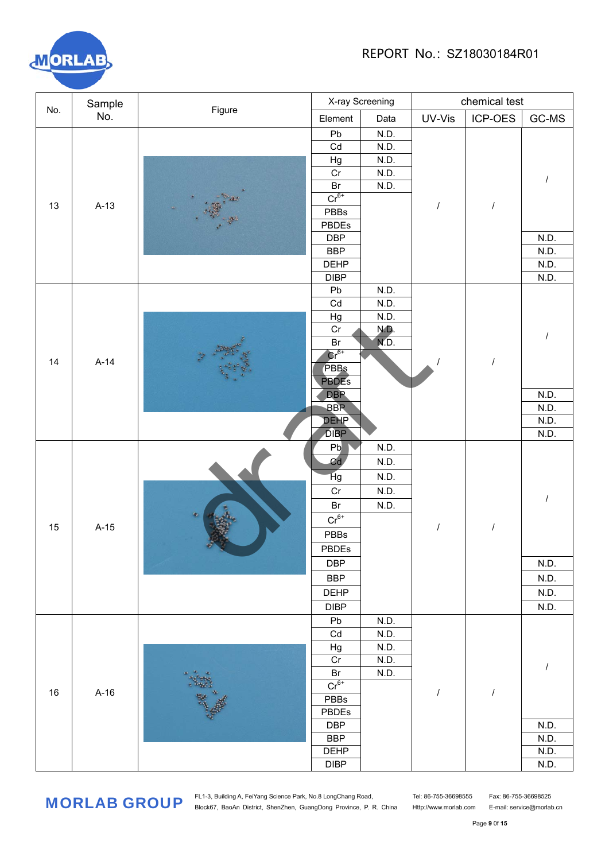

|     | Sample                                                                |  |                                                                                                                                                                                                                                                                                                                                                                                                                                                                                                                                                                                                                                                                                                                        |      |        | chemical test |       |  |  |
|-----|-----------------------------------------------------------------------|--|------------------------------------------------------------------------------------------------------------------------------------------------------------------------------------------------------------------------------------------------------------------------------------------------------------------------------------------------------------------------------------------------------------------------------------------------------------------------------------------------------------------------------------------------------------------------------------------------------------------------------------------------------------------------------------------------------------------------|------|--------|---------------|-------|--|--|
| No. | No.                                                                   |  | Element                                                                                                                                                                                                                                                                                                                                                                                                                                                                                                                                                                                                                                                                                                                | Data | UV-Vis | ICP-OES       | GC-MS |  |  |
|     |                                                                       |  | Pb                                                                                                                                                                                                                                                                                                                                                                                                                                                                                                                                                                                                                                                                                                                     | N.D. |        |               |       |  |  |
|     |                                                                       |  | Cd                                                                                                                                                                                                                                                                                                                                                                                                                                                                                                                                                                                                                                                                                                                     | N.D. |        |               |       |  |  |
|     |                                                                       |  | X-ray Screening<br>N.D.<br>Hg<br>$\overline{Cr}$<br>N.D.<br>Br<br>N.D.<br>$Cr6+$<br>$\prime$<br>PBBs<br><b>PBDEs</b><br><b>DBP</b><br><b>BBP</b><br><b>DEHP</b><br><b>DIBP</b><br>N.D.<br>Pb<br>Cd<br>N.D.<br>Hg<br>N.D.<br>Cr<br>N.D.<br>ND.<br>Br<br>$Cr^{6+}$<br>$\overline{I}$<br>PBBs<br><b>PBDES</b><br><b>DBP</b><br><b>BBP</b><br><b>DEHP</b><br><b>DIBP</b><br>N.D.<br>Pb<br>Cd<br>N.D.<br>Hg<br>N.D.<br>Cr<br>N.D.<br>Br<br>N.D.<br>$Cr^{6+}$<br>$\prime$<br>PBBs<br>PBDEs<br><b>DBP</b><br><b>BBP</b><br><b>DEHP</b><br><b>DIBP</b><br>N.D.<br>Pb<br>Cd<br>N.D.<br>N.D.<br>Hg<br>Cr<br>N.D.<br>N.D.<br>$\mathsf{Br}$<br>$Cr6+$<br>$\cal I$<br>I<br>PBBs<br>PBDEs<br><b>DBP</b><br><b>BBP</b><br><b>DEHP</b> |      |        |               |       |  |  |
|     |                                                                       |  |                                                                                                                                                                                                                                                                                                                                                                                                                                                                                                                                                                                                                                                                                                                        |      |        |               |       |  |  |
|     |                                                                       |  |                                                                                                                                                                                                                                                                                                                                                                                                                                                                                                                                                                                                                                                                                                                        |      |        |               |       |  |  |
| 13  |                                                                       |  |                                                                                                                                                                                                                                                                                                                                                                                                                                                                                                                                                                                                                                                                                                                        |      |        |               |       |  |  |
|     |                                                                       |  |                                                                                                                                                                                                                                                                                                                                                                                                                                                                                                                                                                                                                                                                                                                        |      |        |               |       |  |  |
|     |                                                                       |  |                                                                                                                                                                                                                                                                                                                                                                                                                                                                                                                                                                                                                                                                                                                        |      |        |               |       |  |  |
|     | Figure<br>$A-13$<br>$\mathcal{D}^{\pm}$<br>$A-14$<br>$A-15$<br>$A-16$ |  |                                                                                                                                                                                                                                                                                                                                                                                                                                                                                                                                                                                                                                                                                                                        |      |        |               |       |  |  |
|     |                                                                       |  |                                                                                                                                                                                                                                                                                                                                                                                                                                                                                                                                                                                                                                                                                                                        |      |        |               |       |  |  |
|     |                                                                       |  |                                                                                                                                                                                                                                                                                                                                                                                                                                                                                                                                                                                                                                                                                                                        |      |        |               |       |  |  |
|     |                                                                       |  |                                                                                                                                                                                                                                                                                                                                                                                                                                                                                                                                                                                                                                                                                                                        |      |        |               |       |  |  |
|     |                                                                       |  |                                                                                                                                                                                                                                                                                                                                                                                                                                                                                                                                                                                                                                                                                                                        |      |        |               |       |  |  |
|     |                                                                       |  |                                                                                                                                                                                                                                                                                                                                                                                                                                                                                                                                                                                                                                                                                                                        |      |        |               |       |  |  |
|     |                                                                       |  |                                                                                                                                                                                                                                                                                                                                                                                                                                                                                                                                                                                                                                                                                                                        |      |        |               |       |  |  |
| 14  |                                                                       |  |                                                                                                                                                                                                                                                                                                                                                                                                                                                                                                                                                                                                                                                                                                                        |      |        |               |       |  |  |
|     |                                                                       |  |                                                                                                                                                                                                                                                                                                                                                                                                                                                                                                                                                                                                                                                                                                                        |      |        |               |       |  |  |
|     |                                                                       |  |                                                                                                                                                                                                                                                                                                                                                                                                                                                                                                                                                                                                                                                                                                                        |      |        |               |       |  |  |
|     |                                                                       |  |                                                                                                                                                                                                                                                                                                                                                                                                                                                                                                                                                                                                                                                                                                                        |      |        |               |       |  |  |
|     |                                                                       |  |                                                                                                                                                                                                                                                                                                                                                                                                                                                                                                                                                                                                                                                                                                                        |      |        |               | N.D.  |  |  |
|     |                                                                       |  |                                                                                                                                                                                                                                                                                                                                                                                                                                                                                                                                                                                                                                                                                                                        |      |        |               | N.D.  |  |  |
|     |                                                                       |  |                                                                                                                                                                                                                                                                                                                                                                                                                                                                                                                                                                                                                                                                                                                        |      |        |               | N.D.  |  |  |
|     |                                                                       |  |                                                                                                                                                                                                                                                                                                                                                                                                                                                                                                                                                                                                                                                                                                                        |      |        |               | N.D.  |  |  |
|     |                                                                       |  |                                                                                                                                                                                                                                                                                                                                                                                                                                                                                                                                                                                                                                                                                                                        |      |        |               |       |  |  |
|     |                                                                       |  |                                                                                                                                                                                                                                                                                                                                                                                                                                                                                                                                                                                                                                                                                                                        |      |        |               |       |  |  |
|     |                                                                       |  |                                                                                                                                                                                                                                                                                                                                                                                                                                                                                                                                                                                                                                                                                                                        |      |        |               |       |  |  |
|     |                                                                       |  | N.D.<br>N.D.<br>N.D.<br>N.D.<br>N.D.<br>N.D.<br>N.D.<br>N.D.<br>DIBP                                                                                                                                                                                                                                                                                                                                                                                                                                                                                                                                                                                                                                                   |      |        |               |       |  |  |
|     |                                                                       |  |                                                                                                                                                                                                                                                                                                                                                                                                                                                                                                                                                                                                                                                                                                                        |      |        |               |       |  |  |
|     |                                                                       |  |                                                                                                                                                                                                                                                                                                                                                                                                                                                                                                                                                                                                                                                                                                                        |      |        |               |       |  |  |
|     |                                                                       |  |                                                                                                                                                                                                                                                                                                                                                                                                                                                                                                                                                                                                                                                                                                                        |      |        |               |       |  |  |
|     |                                                                       |  |                                                                                                                                                                                                                                                                                                                                                                                                                                                                                                                                                                                                                                                                                                                        |      |        |               |       |  |  |
|     |                                                                       |  |                                                                                                                                                                                                                                                                                                                                                                                                                                                                                                                                                                                                                                                                                                                        |      |        |               |       |  |  |
|     |                                                                       |  |                                                                                                                                                                                                                                                                                                                                                                                                                                                                                                                                                                                                                                                                                                                        |      |        |               |       |  |  |
|     |                                                                       |  |                                                                                                                                                                                                                                                                                                                                                                                                                                                                                                                                                                                                                                                                                                                        |      |        |               |       |  |  |
|     |                                                                       |  |                                                                                                                                                                                                                                                                                                                                                                                                                                                                                                                                                                                                                                                                                                                        |      |        |               |       |  |  |
|     |                                                                       |  |                                                                                                                                                                                                                                                                                                                                                                                                                                                                                                                                                                                                                                                                                                                        |      |        |               |       |  |  |
|     |                                                                       |  |                                                                                                                                                                                                                                                                                                                                                                                                                                                                                                                                                                                                                                                                                                                        |      |        |               |       |  |  |
|     |                                                                       |  |                                                                                                                                                                                                                                                                                                                                                                                                                                                                                                                                                                                                                                                                                                                        |      |        |               |       |  |  |
|     |                                                                       |  |                                                                                                                                                                                                                                                                                                                                                                                                                                                                                                                                                                                                                                                                                                                        |      |        |               |       |  |  |
|     |                                                                       |  |                                                                                                                                                                                                                                                                                                                                                                                                                                                                                                                                                                                                                                                                                                                        |      |        |               |       |  |  |
|     | 15<br>$16\,$                                                          |  |                                                                                                                                                                                                                                                                                                                                                                                                                                                                                                                                                                                                                                                                                                                        |      |        |               |       |  |  |
|     |                                                                       |  |                                                                                                                                                                                                                                                                                                                                                                                                                                                                                                                                                                                                                                                                                                                        |      |        |               |       |  |  |
|     |                                                                       |  |                                                                                                                                                                                                                                                                                                                                                                                                                                                                                                                                                                                                                                                                                                                        |      |        |               |       |  |  |
|     |                                                                       |  |                                                                                                                                                                                                                                                                                                                                                                                                                                                                                                                                                                                                                                                                                                                        |      |        |               | N.D.  |  |  |
|     |                                                                       |  |                                                                                                                                                                                                                                                                                                                                                                                                                                                                                                                                                                                                                                                                                                                        |      |        |               | N.D.  |  |  |
|     |                                                                       |  |                                                                                                                                                                                                                                                                                                                                                                                                                                                                                                                                                                                                                                                                                                                        |      |        |               | N.D.  |  |  |
|     |                                                                       |  |                                                                                                                                                                                                                                                                                                                                                                                                                                                                                                                                                                                                                                                                                                                        |      |        |               | N.D.  |  |  |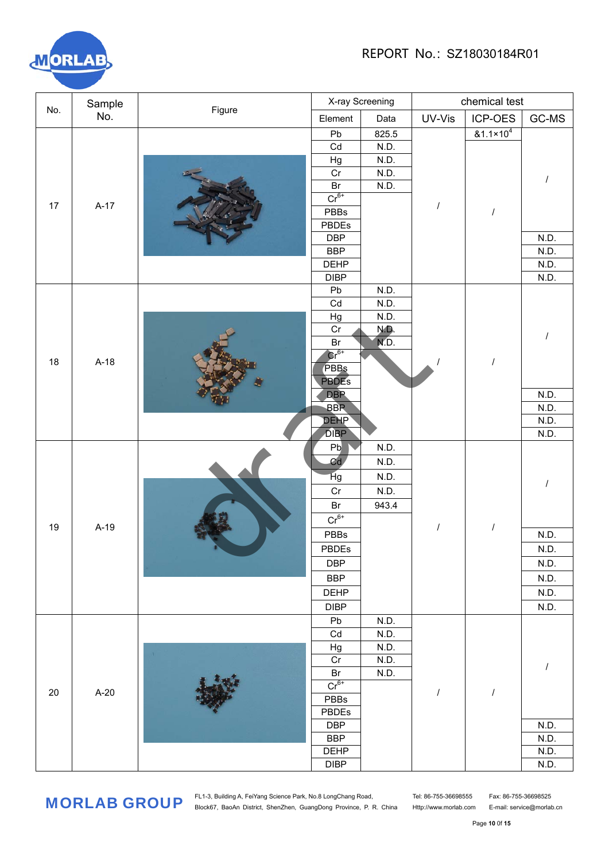

|                             |     | X-ray Screening                                                                                                                                                                                                                                                                                                                                                                                                                                                                                                                                                                                                                                                                                                                                            |                     |       |        |                      |         |  |  |  |  |
|-----------------------------|-----|------------------------------------------------------------------------------------------------------------------------------------------------------------------------------------------------------------------------------------------------------------------------------------------------------------------------------------------------------------------------------------------------------------------------------------------------------------------------------------------------------------------------------------------------------------------------------------------------------------------------------------------------------------------------------------------------------------------------------------------------------------|---------------------|-------|--------|----------------------|---------|--|--|--|--|
|                             | No. |                                                                                                                                                                                                                                                                                                                                                                                                                                                                                                                                                                                                                                                                                                                                                            | Element             | Data  | UV-Vis | ICP-OES              | $GC-MS$ |  |  |  |  |
|                             |     |                                                                                                                                                                                                                                                                                                                                                                                                                                                                                                                                                                                                                                                                                                                                                            | Pb                  | 825.5 |        | $&1.1 \times 10^{4}$ |         |  |  |  |  |
|                             |     |                                                                                                                                                                                                                                                                                                                                                                                                                                                                                                                                                                                                                                                                                                                                                            | Cd                  | N.D.  |        |                      |         |  |  |  |  |
|                             |     |                                                                                                                                                                                                                                                                                                                                                                                                                                                                                                                                                                                                                                                                                                                                                            | Hg                  | N.D.  |        |                      |         |  |  |  |  |
|                             |     |                                                                                                                                                                                                                                                                                                                                                                                                                                                                                                                                                                                                                                                                                                                                                            | Cr                  | N.D.  |        |                      |         |  |  |  |  |
|                             |     | chemical test<br>Sample<br>Figure<br>Br<br>N.D.<br>$Cr^{6+}$<br>$A-17$<br>PBBs<br>$\overline{I}$<br>PBDEs<br><b>DBP</b><br><b>BBP</b><br><b>DEHP</b><br><b>DIBP</b><br>Pb<br>N.D.<br>Cd<br>N.D.<br>Hg<br>N.D.<br>Cr<br>N.D.<br>ND.<br>Br<br>$Cr6+$<br>$A-18$<br>$\overline{1}$<br>PBBs<br><b>PBDES</b><br><b>DBP</b><br><b>BBP</b><br><b>DEHP</b><br><b>DIBP</b><br>Pb<br>N.D.<br>Cd<br>N.D.<br>Hg<br>N.D.<br>Cr<br>N.D.<br>$\mathsf{Br}$<br>943.4<br>$Cr^{6+}$<br>$A-19$<br>$\prime$<br>PBBs<br><b>PBDEs</b><br><b>DBP</b><br><b>BBP</b><br><b>DEHP</b><br><b>DIBP</b><br>Pb<br>N.D.<br>Cd<br>N.D.<br>N.D.<br>Hg<br>n.<br>Cr<br>N.D.<br>$\mathsf{Br}$<br>N.D.<br>$Cr^{6+}$<br>$A-20$<br>$\cal I$<br>$\prime$<br>PBBs<br>PBDEs<br><b>DBP</b><br><b>BBP</b> |                     |       |        |                      |         |  |  |  |  |
|                             |     |                                                                                                                                                                                                                                                                                                                                                                                                                                                                                                                                                                                                                                                                                                                                                            |                     |       |        |                      |         |  |  |  |  |
|                             |     |                                                                                                                                                                                                                                                                                                                                                                                                                                                                                                                                                                                                                                                                                                                                                            |                     |       |        |                      |         |  |  |  |  |
|                             |     |                                                                                                                                                                                                                                                                                                                                                                                                                                                                                                                                                                                                                                                                                                                                                            |                     |       |        |                      |         |  |  |  |  |
| No.<br>17<br>18<br>19<br>20 |     |                                                                                                                                                                                                                                                                                                                                                                                                                                                                                                                                                                                                                                                                                                                                                            |                     |       | N.D.   |                      |         |  |  |  |  |
|                             |     |                                                                                                                                                                                                                                                                                                                                                                                                                                                                                                                                                                                                                                                                                                                                                            |                     |       |        |                      |         |  |  |  |  |
|                             |     |                                                                                                                                                                                                                                                                                                                                                                                                                                                                                                                                                                                                                                                                                                                                                            | DEHP<br><b>DIBP</b> |       |        |                      |         |  |  |  |  |
|                             |     |                                                                                                                                                                                                                                                                                                                                                                                                                                                                                                                                                                                                                                                                                                                                                            |                     |       |        |                      |         |  |  |  |  |
|                             |     |                                                                                                                                                                                                                                                                                                                                                                                                                                                                                                                                                                                                                                                                                                                                                            |                     |       |        |                      |         |  |  |  |  |
|                             |     |                                                                                                                                                                                                                                                                                                                                                                                                                                                                                                                                                                                                                                                                                                                                                            |                     |       |        |                      |         |  |  |  |  |
|                             |     |                                                                                                                                                                                                                                                                                                                                                                                                                                                                                                                                                                                                                                                                                                                                                            |                     |       |        |                      |         |  |  |  |  |
|                             |     |                                                                                                                                                                                                                                                                                                                                                                                                                                                                                                                                                                                                                                                                                                                                                            |                     |       |        |                      |         |  |  |  |  |
|                             |     |                                                                                                                                                                                                                                                                                                                                                                                                                                                                                                                                                                                                                                                                                                                                                            |                     |       |        |                      |         |  |  |  |  |
|                             |     |                                                                                                                                                                                                                                                                                                                                                                                                                                                                                                                                                                                                                                                                                                                                                            |                     |       |        |                      |         |  |  |  |  |
|                             |     |                                                                                                                                                                                                                                                                                                                                                                                                                                                                                                                                                                                                                                                                                                                                                            |                     |       |        |                      |         |  |  |  |  |
|                             |     |                                                                                                                                                                                                                                                                                                                                                                                                                                                                                                                                                                                                                                                                                                                                                            |                     |       |        |                      |         |  |  |  |  |
|                             |     |                                                                                                                                                                                                                                                                                                                                                                                                                                                                                                                                                                                                                                                                                                                                                            |                     |       |        |                      |         |  |  |  |  |
|                             |     |                                                                                                                                                                                                                                                                                                                                                                                                                                                                                                                                                                                                                                                                                                                                                            |                     |       |        |                      |         |  |  |  |  |
|                             |     |                                                                                                                                                                                                                                                                                                                                                                                                                                                                                                                                                                                                                                                                                                                                                            |                     |       |        |                      |         |  |  |  |  |
|                             |     |                                                                                                                                                                                                                                                                                                                                                                                                                                                                                                                                                                                                                                                                                                                                                            |                     |       |        |                      |         |  |  |  |  |
|                             |     |                                                                                                                                                                                                                                                                                                                                                                                                                                                                                                                                                                                                                                                                                                                                                            |                     |       |        |                      |         |  |  |  |  |
|                             |     |                                                                                                                                                                                                                                                                                                                                                                                                                                                                                                                                                                                                                                                                                                                                                            |                     |       |        |                      |         |  |  |  |  |
|                             |     |                                                                                                                                                                                                                                                                                                                                                                                                                                                                                                                                                                                                                                                                                                                                                            |                     |       |        |                      |         |  |  |  |  |
|                             |     |                                                                                                                                                                                                                                                                                                                                                                                                                                                                                                                                                                                                                                                                                                                                                            |                     |       |        |                      |         |  |  |  |  |
|                             |     | N.D.<br>N.D.<br>N.D.<br>N.D.<br>N.D.<br>N.D.<br>N.D.<br>N.D.                                                                                                                                                                                                                                                                                                                                                                                                                                                                                                                                                                                                                                                                                               |                     |       |        |                      |         |  |  |  |  |
|                             |     |                                                                                                                                                                                                                                                                                                                                                                                                                                                                                                                                                                                                                                                                                                                                                            | N.D.<br>N.D.        |       |        |                      |         |  |  |  |  |
|                             |     |                                                                                                                                                                                                                                                                                                                                                                                                                                                                                                                                                                                                                                                                                                                                                            |                     |       |        |                      |         |  |  |  |  |
|                             |     |                                                                                                                                                                                                                                                                                                                                                                                                                                                                                                                                                                                                                                                                                                                                                            |                     |       |        |                      |         |  |  |  |  |
|                             |     |                                                                                                                                                                                                                                                                                                                                                                                                                                                                                                                                                                                                                                                                                                                                                            |                     |       |        |                      |         |  |  |  |  |
|                             |     |                                                                                                                                                                                                                                                                                                                                                                                                                                                                                                                                                                                                                                                                                                                                                            |                     |       |        |                      | N.D.    |  |  |  |  |
|                             |     |                                                                                                                                                                                                                                                                                                                                                                                                                                                                                                                                                                                                                                                                                                                                                            |                     |       |        |                      | N.D.    |  |  |  |  |
|                             |     |                                                                                                                                                                                                                                                                                                                                                                                                                                                                                                                                                                                                                                                                                                                                                            |                     |       |        |                      | N.D.    |  |  |  |  |
|                             |     |                                                                                                                                                                                                                                                                                                                                                                                                                                                                                                                                                                                                                                                                                                                                                            |                     |       |        |                      |         |  |  |  |  |
|                             |     |                                                                                                                                                                                                                                                                                                                                                                                                                                                                                                                                                                                                                                                                                                                                                            |                     |       |        |                      |         |  |  |  |  |
|                             |     |                                                                                                                                                                                                                                                                                                                                                                                                                                                                                                                                                                                                                                                                                                                                                            |                     |       |        |                      |         |  |  |  |  |
|                             |     |                                                                                                                                                                                                                                                                                                                                                                                                                                                                                                                                                                                                                                                                                                                                                            |                     |       |        |                      |         |  |  |  |  |
|                             |     |                                                                                                                                                                                                                                                                                                                                                                                                                                                                                                                                                                                                                                                                                                                                                            |                     |       |        |                      |         |  |  |  |  |
|                             |     |                                                                                                                                                                                                                                                                                                                                                                                                                                                                                                                                                                                                                                                                                                                                                            |                     |       |        |                      |         |  |  |  |  |
|                             |     |                                                                                                                                                                                                                                                                                                                                                                                                                                                                                                                                                                                                                                                                                                                                                            |                     |       |        |                      |         |  |  |  |  |
|                             |     |                                                                                                                                                                                                                                                                                                                                                                                                                                                                                                                                                                                                                                                                                                                                                            |                     |       |        |                      |         |  |  |  |  |
|                             |     |                                                                                                                                                                                                                                                                                                                                                                                                                                                                                                                                                                                                                                                                                                                                                            |                     |       |        |                      | N.D.    |  |  |  |  |
|                             |     |                                                                                                                                                                                                                                                                                                                                                                                                                                                                                                                                                                                                                                                                                                                                                            |                     |       |        |                      | N.D.    |  |  |  |  |
|                             |     |                                                                                                                                                                                                                                                                                                                                                                                                                                                                                                                                                                                                                                                                                                                                                            |                     |       |        |                      |         |  |  |  |  |
|                             |     |                                                                                                                                                                                                                                                                                                                                                                                                                                                                                                                                                                                                                                                                                                                                                            |                     |       |        |                      | N.D.    |  |  |  |  |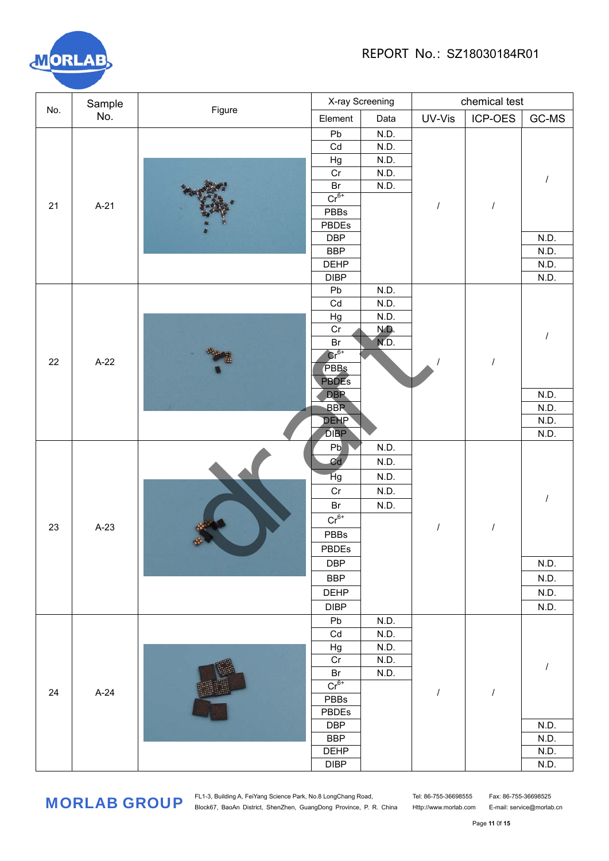

|     | Sample |        | X-ray Screening   |       | chemical test |            |         |  |
|-----|--------|--------|-------------------|-------|---------------|------------|---------|--|
| No. | No.    | Figure | Element           | Data  | UV-Vis        | ICP-OES    | $GC-MS$ |  |
| 21  |        |        | Pb                | N.D.  |               |            |         |  |
|     |        |        | Cd                | N.D.  |               |            |         |  |
|     |        |        | Hg                | N.D.  |               |            |         |  |
|     | $A-21$ |        | Cr                | N.D.  |               |            |         |  |
|     |        |        | Br                | N.D.  |               |            |         |  |
|     |        |        | $Cr^{6+}$         |       |               | $\cal I$   |         |  |
|     |        |        | PBBs              |       |               |            |         |  |
|     |        |        | PBDEs             |       |               |            |         |  |
|     |        |        | <b>DBP</b>        |       |               |            | N.D.    |  |
|     |        |        | <b>BBP</b>        |       |               |            | N.D.    |  |
|     |        |        | <b>DEHP</b>       |       |               |            | N.D.    |  |
|     |        |        | <b>DIBP</b><br>Pb | N.D.  |               |            | N.D.    |  |
|     |        |        | Cd                | N.D.  |               |            |         |  |
|     |        |        | Hg                | N.D.  |               |            |         |  |
|     |        |        | Cr                | N.D.  |               |            |         |  |
|     |        |        | Br                | NĎ.   |               |            |         |  |
|     |        |        | $\text{Cr}^{6+}$  |       |               |            |         |  |
| 22  | $A-22$ |        | PBBs              |       |               | $\sqrt{2}$ |         |  |
|     |        |        | <b>PBDES</b>      |       |               |            |         |  |
|     |        |        | <b>DBP</b>        |       |               |            | N.D.    |  |
|     |        |        | <b>BBP</b>        |       |               |            | N.D.    |  |
|     |        |        | <b>DEHP</b>       |       |               |            | N.D.    |  |
|     |        |        | <b>DIBP</b>       |       |               |            | N.D.    |  |
|     |        |        | P <sub>b</sub>    | N.D.  |               |            |         |  |
|     |        |        | Cd                | N.D.  |               |            |         |  |
|     |        |        | Hg<br>N.D.        |       |               |            |         |  |
|     |        | Cr     | N.D.              |       |               |            |         |  |
|     |        |        | Br<br>N.D.        |       |               |            |         |  |
|     | $A-23$ |        | $Cr^{6+}$         |       | $\prime$      | $\cal I$   |         |  |
| 23  |        |        | PBBs              |       |               |            |         |  |
|     |        |        |                   | PBDEs |               |            |         |  |
|     |        |        | <b>DBP</b>        |       |               |            | N.D.    |  |
|     |        |        | <b>BBP</b>        |       |               |            | N.D.    |  |
|     |        |        | <b>DEHP</b>       |       |               |            | N.D.    |  |
|     |        |        | <b>DIBP</b>       |       |               |            | N.D.    |  |
|     |        |        | Pb                | N.D.  |               |            |         |  |
|     |        |        | Cd                | N.D.  |               |            |         |  |
| 24  |        |        | Hg                | N.D.  |               |            |         |  |
|     |        |        | Cr                | N.D.  |               |            |         |  |
|     |        |        | Br                | N.D.  |               |            |         |  |
|     |        |        | $Cr^{6+}$         |       |               |            |         |  |
|     |        | $A-24$ | PBBs              |       | I             | $\cal I$   |         |  |
|     |        |        | PBDEs             |       |               |            |         |  |
|     |        |        | <b>DBP</b>        |       |               |            | N.D.    |  |
|     |        |        | <b>BBP</b>        |       |               |            | N.D.    |  |
|     |        |        | <b>DEHP</b>       |       |               |            | N.D.    |  |
|     |        |        | DIBP              |       |               |            | N.D.    |  |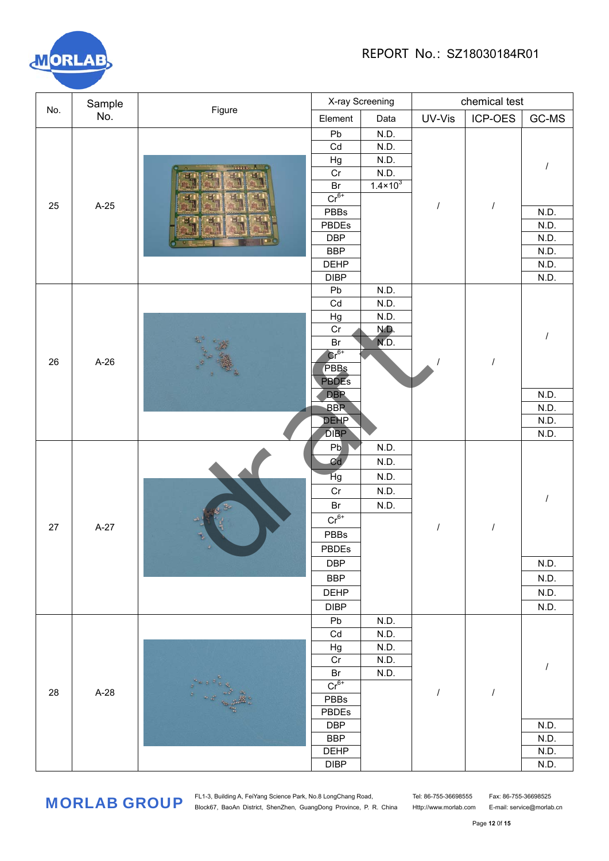

| No. | Sample |              |                           | X-ray Screening     |           | chemical test |              |  |  |
|-----|--------|--------------|---------------------------|---------------------|-----------|---------------|--------------|--|--|
|     | No.    | Figure       | Element                   | Data                | UV-Vis    | ICP-OES       | GC-MS        |  |  |
|     |        |              | Pb                        | N.D.                |           |               |              |  |  |
|     |        |              | Cd                        | N.D.                |           |               |              |  |  |
|     |        |              | Hg                        | N.D.                |           |               |              |  |  |
|     |        | 5666         | $\overline{Cr}$           | N.D.                |           |               |              |  |  |
|     |        |              | $\mathsf{Br}$             | $1.4 \times 10^{3}$ |           |               |              |  |  |
| 25  | $A-25$ |              | $Cr6+$                    |                     |           | $\prime$      |              |  |  |
|     |        |              | PBBs                      |                     |           |               | N.D.         |  |  |
|     |        |              | PBDEs                     |                     |           |               | N.D.         |  |  |
|     |        |              | <b>DBP</b>                |                     |           |               | N.D.         |  |  |
|     |        |              | <b>BBP</b><br><b>DEHP</b> |                     |           |               | N.D.<br>N.D. |  |  |
|     |        |              | <b>DIBP</b>               |                     |           |               | N.D.         |  |  |
|     |        |              | Pb                        | N.D.                |           |               |              |  |  |
|     |        |              | Cd                        | N.D.                |           |               |              |  |  |
|     |        |              | Hg                        | N.D.                |           |               |              |  |  |
|     |        |              | Cr                        | N.D.                |           |               |              |  |  |
|     |        |              | Br                        | ND.                 |           |               |              |  |  |
| 26  | $A-26$ |              |                           |                     | $Cr^{6+}$ |               |              |  |  |
|     |        |              |                           | PBBs                |           |               | $\prime$     |  |  |
|     |        |              | <b>PBDES</b>              |                     |           |               |              |  |  |
|     |        |              | <b>DBP</b>                |                     |           |               | N.D.         |  |  |
|     |        |              | <b>BBP</b>                |                     |           |               | N.D.         |  |  |
|     |        |              | <b>DEHP</b>               |                     |           |               | N.D.         |  |  |
|     |        |              | <b>DIBP</b>               |                     |           |               | N.D.         |  |  |
|     |        |              | Pb                        | N.D.                |           |               |              |  |  |
|     |        |              | Cd                        | N.D.                | N.D.      |               |              |  |  |
|     |        |              | Hg                        |                     |           |               |              |  |  |
|     |        |              | Cr<br>N.D.                |                     |           |               |              |  |  |
|     | $A-27$ |              | Br                        | N.D.                |           | $\prime$      |              |  |  |
| 27  |        |              | $Cr^{6+}$                 |                     |           |               |              |  |  |
|     |        |              | PBBs                      |                     |           |               |              |  |  |
|     |        |              | PBDEs                     |                     |           |               |              |  |  |
|     |        |              | <b>DBP</b>                |                     |           |               | N.D.         |  |  |
|     |        |              | <b>BBP</b>                |                     |           |               | N.D.         |  |  |
|     |        |              | <b>DEHP</b>               |                     |           |               | N.D.         |  |  |
|     |        |              | <b>DIBP</b>               |                     |           |               | N.D.         |  |  |
|     |        |              | Pb                        | N.D.                |           |               |              |  |  |
|     |        |              | Cd                        | N.D.                |           |               |              |  |  |
|     |        |              | Hg                        | N.D.                |           |               |              |  |  |
|     |        |              | Cr                        | N.D.                |           |               |              |  |  |
|     |        |              | Br                        | N.D.                |           |               |              |  |  |
| 28  | $A-28$ | See of the A | $Cr6+$                    |                     | I         | $\cal I$      |              |  |  |
|     |        |              | PBBs<br>PBDEs             |                     |           |               |              |  |  |
|     |        |              | <b>DBP</b>                |                     |           |               | N.D.         |  |  |
|     |        |              | <b>BBP</b>                |                     |           |               | N.D.         |  |  |
|     |        |              | <b>DEHP</b>               |                     |           |               | N.D.         |  |  |
|     |        |              | <b>DIBP</b>               |                     |           |               | N.D.         |  |  |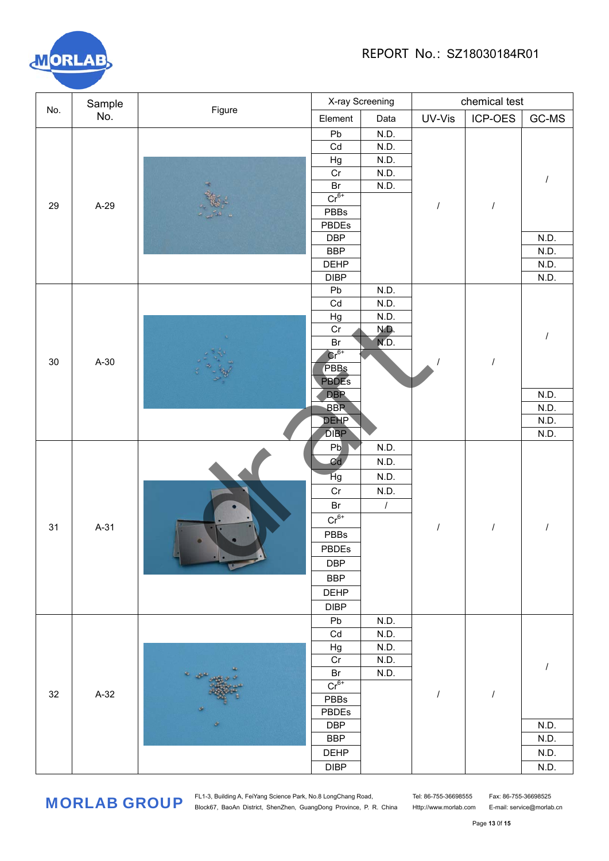

| No. | Sample | Figure                                                                                                                                                                                                                                                                                                                                                                                                                          | X-ray Screening |                  | chemical test |           |       |
|-----|--------|---------------------------------------------------------------------------------------------------------------------------------------------------------------------------------------------------------------------------------------------------------------------------------------------------------------------------------------------------------------------------------------------------------------------------------|-----------------|------------------|---------------|-----------|-------|
|     | No.    |                                                                                                                                                                                                                                                                                                                                                                                                                                 | Element         | Data             | UV-Vis        | $ICP-OES$ | GC-MS |
| 29  |        |                                                                                                                                                                                                                                                                                                                                                                                                                                 | Pb              | N.D.             |               |           |       |
|     |        |                                                                                                                                                                                                                                                                                                                                                                                                                                 | Cd              | N.D.             |               |           |       |
|     | A-29   |                                                                                                                                                                                                                                                                                                                                                                                                                                 | Hg              | N.D.             |               |           |       |
|     |        |                                                                                                                                                                                                                                                                                                                                                                                                                                 | Cr              | N.D.             |               |           |       |
|     |        |                                                                                                                                                                                                                                                                                                                                                                                                                                 | $\mathsf{Br}$   | N.D.             |               |           |       |
|     |        |                                                                                                                                                                                                                                                                                                                                                                                                                                 | $Cr^{6+}$       |                  |               | $\prime$  |       |
|     |        |                                                                                                                                                                                                                                                                                                                                                                                                                                 | PBBs            |                  |               |           |       |
|     |        |                                                                                                                                                                                                                                                                                                                                                                                                                                 | PBDEs           |                  |               |           |       |
|     |        |                                                                                                                                                                                                                                                                                                                                                                                                                                 | <b>DBP</b>      |                  |               |           | N.D.  |
|     |        |                                                                                                                                                                                                                                                                                                                                                                                                                                 | <b>BBP</b>      |                  |               |           | N.D.  |
|     |        |                                                                                                                                                                                                                                                                                                                                                                                                                                 | <b>DEHP</b>     |                  |               |           | N.D.  |
|     |        |                                                                                                                                                                                                                                                                                                                                                                                                                                 | <b>DIBP</b>     |                  |               |           | N.D.  |
|     |        |                                                                                                                                                                                                                                                                                                                                                                                                                                 | Pb<br>Cd        | N.D.<br>N.D.     |               |           |       |
|     |        |                                                                                                                                                                                                                                                                                                                                                                                                                                 |                 | N.D.             |               |           |       |
|     |        |                                                                                                                                                                                                                                                                                                                                                                                                                                 | Hg<br>Cr        | N.D.             |               |           |       |
|     |        |                                                                                                                                                                                                                                                                                                                                                                                                                                 | Br              | NŌ.              |               | $\cal I$  |       |
|     | $A-30$ |                                                                                                                                                                                                                                                                                                                                                                                                                                 |                 | $\text{Cr}^{6+}$ |               |           |       |
| 30  |        |                                                                                                                                                                                                                                                                                                                                                                                                                                 | PBBs            |                  |               |           |       |
|     |        |                                                                                                                                                                                                                                                                                                                                                                                                                                 | <b>PBDES</b>    |                  |               |           |       |
|     |        |                                                                                                                                                                                                                                                                                                                                                                                                                                 | <b>DBP</b>      |                  |               |           | N.D.  |
|     |        |                                                                                                                                                                                                                                                                                                                                                                                                                                 | <b>BBP</b>      |                  |               |           | N.D.  |
|     |        |                                                                                                                                                                                                                                                                                                                                                                                                                                 | <b>DEHP</b>     |                  |               |           | N.D.  |
|     |        |                                                                                                                                                                                                                                                                                                                                                                                                                                 | <b>DIBP</b>     |                  |               |           | N.D.  |
|     |        |                                                                                                                                                                                                                                                                                                                                                                                                                                 | Pb              | N.D.             |               |           |       |
|     |        |                                                                                                                                                                                                                                                                                                                                                                                                                                 | Cd              | N.D.             |               |           |       |
|     |        |                                                                                                                                                                                                                                                                                                                                                                                                                                 | Hg              | N.D.             |               |           |       |
|     |        |                                                                                                                                                                                                                                                                                                                                                                                                                                 | Cr              | N.D.             |               |           |       |
|     |        |                                                                                                                                                                                                                                                                                                                                                                                                                                 | Br<br>$\prime$  |                  |               |           |       |
|     |        | $A-31$                                                                                                                                                                                                                                                                                                                                                                                                                          | $Cr^{6+}$       |                  |               | $\cal I$  |       |
| 31  |        |                                                                                                                                                                                                                                                                                                                                                                                                                                 | PBBs            |                  |               |           |       |
|     |        |                                                                                                                                                                                                                                                                                                                                                                                                                                 | PBDEs           |                  |               |           |       |
|     |        |                                                                                                                                                                                                                                                                                                                                                                                                                                 | <b>DBP</b>      |                  |               |           |       |
|     |        |                                                                                                                                                                                                                                                                                                                                                                                                                                 |                 |                  |               |           |       |
|     |        |                                                                                                                                                                                                                                                                                                                                                                                                                                 | <b>BBP</b>      |                  |               |           |       |
|     |        |                                                                                                                                                                                                                                                                                                                                                                                                                                 | <b>DEHP</b>     |                  |               |           |       |
|     |        |                                                                                                                                                                                                                                                                                                                                                                                                                                 | <b>DIBP</b>     |                  |               |           |       |
|     |        |                                                                                                                                                                                                                                                                                                                                                                                                                                 | Pb              | N.D.             |               |           |       |
|     |        |                                                                                                                                                                                                                                                                                                                                                                                                                                 | Cd              | N.D.<br>N.D.     |               |           |       |
|     |        |                                                                                                                                                                                                                                                                                                                                                                                                                                 | Hg<br>Cr        | N.D.             |               |           |       |
|     |        | $\begin{array}{ccccc}\n\mathbf{z} & \mathbf{z} & \mathbf{z} & \mathbf{z} & \mathbf{z} & \mathbf{z} & \mathbf{z} & \mathbf{z} & \mathbf{z} & \mathbf{z} & \mathbf{z} & \mathbf{z} & \mathbf{z} & \mathbf{z} & \mathbf{z} & \mathbf{z} & \mathbf{z} & \mathbf{z} & \mathbf{z} & \mathbf{z} & \mathbf{z} & \mathbf{z} & \mathbf{z} & \mathbf{z} & \mathbf{z} & \mathbf{z} & \mathbf{z} & \mathbf{z} & \mathbf{z} & \mathbf{z} & \$ | Br              | N.D.             |               |           |       |
|     |        |                                                                                                                                                                                                                                                                                                                                                                                                                                 | $Cr^{6+}$       |                  |               |           |       |
| 32  | $A-32$ |                                                                                                                                                                                                                                                                                                                                                                                                                                 | PBBs            |                  |               | $\cal I$  |       |
|     |        |                                                                                                                                                                                                                                                                                                                                                                                                                                 | PBDEs           |                  |               |           |       |
|     |        |                                                                                                                                                                                                                                                                                                                                                                                                                                 | <b>DBP</b>      |                  |               |           | N.D.  |
|     |        |                                                                                                                                                                                                                                                                                                                                                                                                                                 | <b>BBP</b>      |                  |               |           | N.D.  |
|     |        |                                                                                                                                                                                                                                                                                                                                                                                                                                 | <b>DEHP</b>     |                  |               |           | N.D.  |
|     |        |                                                                                                                                                                                                                                                                                                                                                                                                                                 | DIBP            |                  |               |           | N.D.  |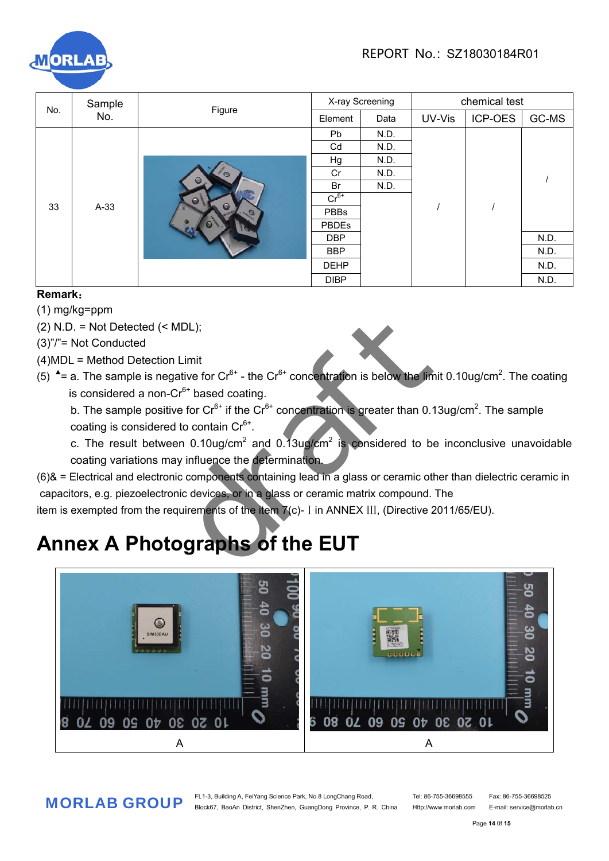

| No. | Sample | Figure             | X-ray Screening |      | chemical test |         |       |  |
|-----|--------|--------------------|-----------------|------|---------------|---------|-------|--|
|     | No.    |                    | Element         | Data | UV-Vis        | ICP-OES | GC-MS |  |
|     |        |                    | <b>Pb</b>       | N.D. |               |         |       |  |
|     |        |                    | Cd              | N.D. |               |         |       |  |
|     |        |                    | Hg              | N.D. |               |         |       |  |
|     |        | $\circ$            | Cr<br>N.D.      |      |               |         |       |  |
|     |        | $\circ$            | Br              | N.D. |               |         |       |  |
|     |        | $\bullet$          | $Cr6+$          |      |               |         |       |  |
| 33  | $A-33$ | Θ<br>$\mathcal{O}$ | <b>PBBs</b>     |      |               |         |       |  |
|     |        |                    | PBDEs           |      |               |         |       |  |
|     |        |                    | <b>DBP</b>      |      |               |         | N.D.  |  |
|     |        |                    | <b>BBP</b>      |      |               |         | N.D.  |  |
|     |        |                    | <b>DEHP</b>     |      |               |         | N.D.  |  |
|     |        |                    | <b>DIBP</b>     |      |               |         | N.D.  |  |

### **Remark**:

- (1) mg/kg=ppm
- $(2)$  N.D. = Not Detected  $(<sub>MDL</sub>)$ ;
- (3)"/"= Not Conducted
- (4)MDL = Method Detection Limit
- (5)  $\triangleq$  = a. The sample is negative for Cr<sup>6+</sup> the Cr<sup>6+</sup> concentration is below the limit 0.10ug/cm<sup>2</sup>. The coating is considered a non- $Cr<sup>6+</sup>$  based coating.
- b. The sample positive for Cr $^{6+}$  if the Cr $^{6+}$  concentration is greater than 0.13ug/cm<sup>2</sup>. The sample coating is considered to contain  $Cr<sup>6+</sup>$ .
- c. The result between 0.10ug/cm<sup>2</sup> and 0.13ug/cm<sup>2</sup> is considered to be inconclusive unavoidable coating variations may influence the determination.
- (6)& = Electrical and electronic components containing lead in a glass or ceramic other than dielectric ceramic in capacitors, e.g. piezoelectronic devices, or in a glass or ceramic matrix compound. The item is exempted from the requirements of the item  $7(c)$ - I in ANNEX III, (Directive 2011/65/EU). MDL);<br>
Limit<br>
ative for Cr<sup>6+</sup> - the Cr<sup>6+</sup> concentration is below the limit<br>
Cr<sup>6+</sup> based coating.<br>
ve for Cr<sup>6+</sup> if the Cr<sup>6+</sup> concentration is greater than 0.13<br>
to contain Cr<sup>6+</sup>.<br>
an 0.10ug/cm<sup>2</sup> and 0.13ug/cm<sup>2</sup> is

## **Annex A Photographs of the EUT**